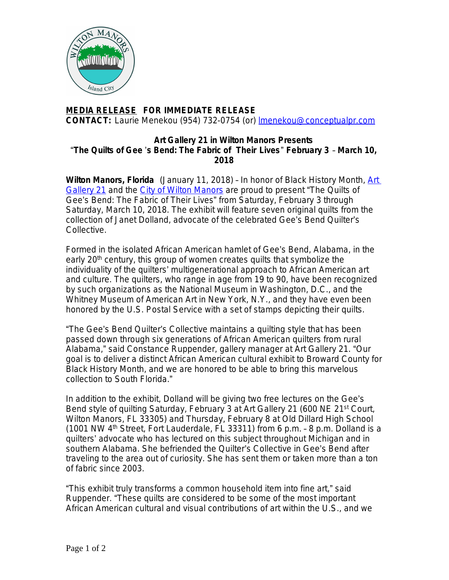

## **MEDIA RELEASE FOR IMMEDIATE RELEASE CONTACT:** Laurie Menekou (954) 732-0754 (or) [lmenekou@conceptualpr.com](mailto:lmenekou@conceptualpr.com)

## **Art Gallery 21 in Wilton Manors Presents**  "**The Quilts of Gee** '**s Bend: The Fabric of Their Lives**" **February 3** – **March 10, 2018**

**Wilton Manors, Florida** (January 11, 2018) – In honor of Black History Month, [Art](https://artgallery21.org/)  Gallery 21 and the [City of Wilton Manors](http://www.wiltonmanors.com/) are proud to present "The Quilts of Gee's Bend: The Fabric of Their Lives" from Saturday, February 3 through Saturday, March 10, 2018. The exhibit will feature seven original quilts from the collection of Janet Dolland, advocate of the celebrated Gee's Bend Quilter's Collective.

Formed in the isolated African American hamlet of Gee's Bend, Alabama, in the early 20<sup>th</sup> century, this group of women creates quilts that symbolize the individuality of the quilters' multigenerational approach to African American art and culture. The quilters, who range in age from 19 to 90, have been recognized by such organizations as the National Museum in Washington, D.C., and the Whitney Museum of American Art in New York, N.Y., and they have even been honored by the U.S. Postal Service with a set of stamps depicting their quilts.

"The Gee's Bend Quilter's Collective maintains a quilting style that has been passed down through six generations of African American quilters from rural Alabama," said Constance Ruppender, gallery manager at Art Gallery 21. "Our goal is to deliver a distinct African American cultural exhibit to Broward County for Black History Month, and we are honored to be able to bring this marvelous collection to South Florida."

In addition to the exhibit, Dolland will be giving two free lectures on the Gee's Bend style of quilting Saturday, February 3 at Art Gallery 21 (600 NE 21<sup>st</sup> Court, Wilton Manors, FL 33305) and Thursday, February 8 at Old Dillard High School (1001 NW 4th Street, Fort Lauderdale, FL 33311) from 6 p.m. – 8 p.m. Dolland is a quilters' advocate who has lectured on this subject throughout Michigan and in southern Alabama. She befriended the Quilter's Collective in Gee's Bend after traveling to the area out of curiosity. She has sent them or taken more than a ton of fabric since 2003.

"This exhibit truly transforms a common household item into fine art," said Ruppender. "These quilts are considered to be some of the most important African American cultural and visual contributions of art within the U.S., and we